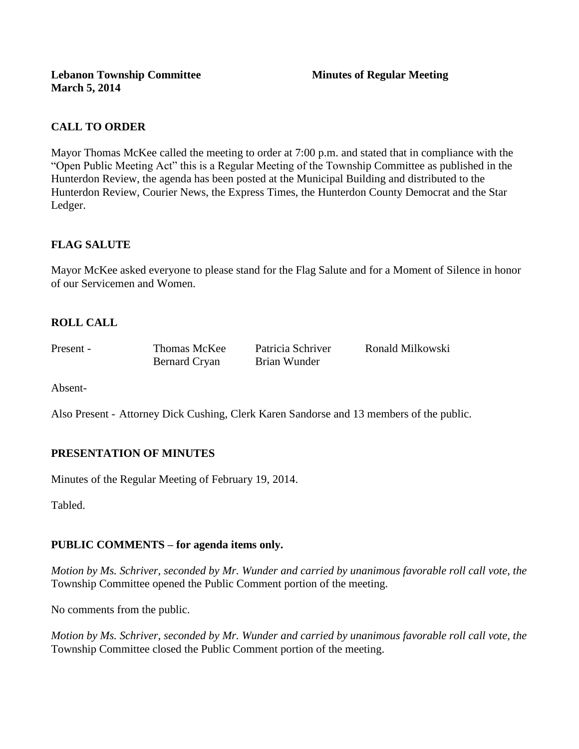## **CALL TO ORDER**

Mayor Thomas McKee called the meeting to order at 7:00 p.m. and stated that in compliance with the "Open Public Meeting Act" this is a Regular Meeting of the Township Committee as published in the Hunterdon Review, the agenda has been posted at the Municipal Building and distributed to the Hunterdon Review, Courier News, the Express Times, the Hunterdon County Democrat and the Star Ledger.

## **FLAG SALUTE**

Mayor McKee asked everyone to please stand for the Flag Salute and for a Moment of Silence in honor of our Servicemen and Women.

# **ROLL CALL**

| Present - | Thomas McKee         | Patricia Schriver | Ronald Milkowski |
|-----------|----------------------|-------------------|------------------|
|           | <b>Bernard Cryan</b> | Brian Wunder      |                  |

Absent-

Also Present - Attorney Dick Cushing, Clerk Karen Sandorse and 13 members of the public.

## **PRESENTATION OF MINUTES**

Minutes of the Regular Meeting of February 19, 2014.

Tabled.

## **PUBLIC COMMENTS – for agenda items only.**

*Motion by Ms. Schriver, seconded by Mr. Wunder and carried by unanimous favorable roll call vote, the* Township Committee opened the Public Comment portion of the meeting.

No comments from the public.

*Motion by Ms. Schriver, seconded by Mr. Wunder and carried by unanimous favorable roll call vote, the* Township Committee closed the Public Comment portion of the meeting.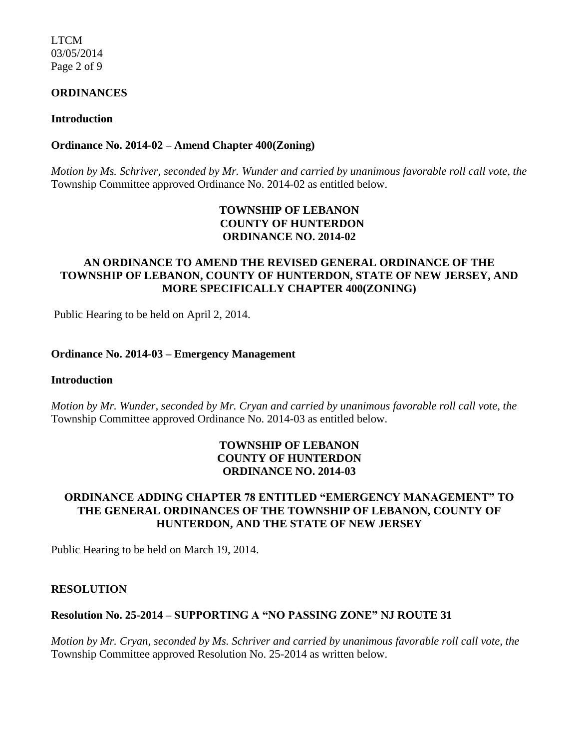LTCM 03/05/2014 Page 2 of 9

#### **ORDINANCES**

#### **Introduction**

#### **Ordinance No. 2014-02** *–* **Amend Chapter 400(Zoning)**

*Motion by Ms. Schriver, seconded by Mr. Wunder and carried by unanimous favorable roll call vote, the* Township Committee approved Ordinance No. 2014-02 as entitled below.

## **TOWNSHIP OF LEBANON COUNTY OF HUNTERDON ORDINANCE NO. 2014-02**

### **AN ORDINANCE TO AMEND THE REVISED GENERAL ORDINANCE OF THE TOWNSHIP OF LEBANON, COUNTY OF HUNTERDON, STATE OF NEW JERSEY, AND MORE SPECIFICALLY CHAPTER 400(ZONING)**

Public Hearing to be held on April 2, 2014.

#### **Ordinance No. 2014-03 – Emergency Management**

#### **Introduction**

*Motion by Mr. Wunder, seconded by Mr. Cryan and carried by unanimous favorable roll call vote, the* Township Committee approved Ordinance No. 2014-03 as entitled below.

### **TOWNSHIP OF LEBANON COUNTY OF HUNTERDON ORDINANCE NO. 2014-03**

### **ORDINANCE ADDING CHAPTER 78 ENTITLED "EMERGENCY MANAGEMENT" TO THE GENERAL ORDINANCES OF THE TOWNSHIP OF LEBANON, COUNTY OF HUNTERDON, AND THE STATE OF NEW JERSEY**

Public Hearing to be held on March 19, 2014.

#### **RESOLUTION**

## **Resolution No. 25-2014 – SUPPORTING A "NO PASSING ZONE" NJ ROUTE 31**

*Motion by Mr. Cryan, seconded by Ms. Schriver and carried by unanimous favorable roll call vote, the* Township Committee approved Resolution No. 25-2014 as written below.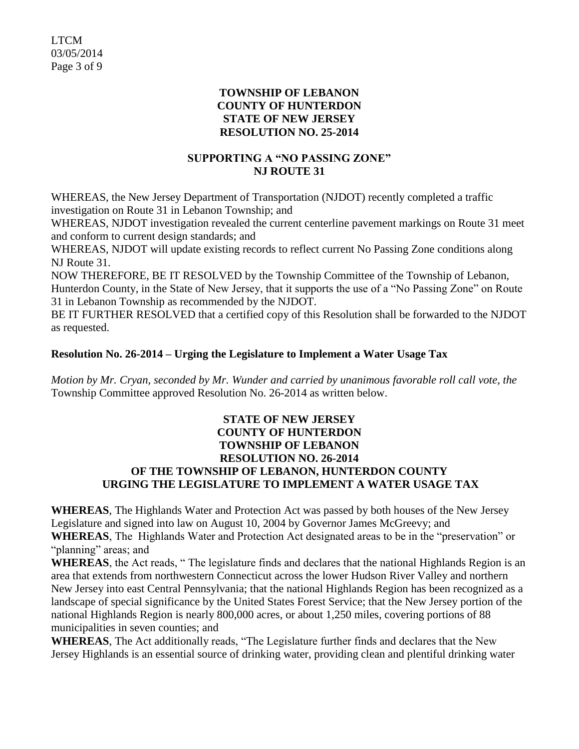LTCM 03/05/2014 Page 3 of 9

### **TOWNSHIP OF LEBANON COUNTY OF HUNTERDON STATE OF NEW JERSEY RESOLUTION NO. 25-2014**

## **SUPPORTING A "NO PASSING ZONE" NJ ROUTE 31**

WHEREAS, the New Jersey Department of Transportation (NJDOT) recently completed a traffic investigation on Route 31 in Lebanon Township; and

WHEREAS, NJDOT investigation revealed the current centerline pavement markings on Route 31 meet and conform to current design standards; and

WHEREAS, NJDOT will update existing records to reflect current No Passing Zone conditions along NJ Route 31.

NOW THEREFORE, BE IT RESOLVED by the Township Committee of the Township of Lebanon, Hunterdon County, in the State of New Jersey, that it supports the use of a "No Passing Zone" on Route 31 in Lebanon Township as recommended by the NJDOT.

BE IT FURTHER RESOLVED that a certified copy of this Resolution shall be forwarded to the NJDOT as requested.

## **Resolution No. 26-2014 – Urging the Legislature to Implement a Water Usage Tax**

*Motion by Mr. Cryan, seconded by Mr. Wunder and carried by unanimous favorable roll call vote*, *the* Township Committee approved Resolution No. 26-2014 as written below.

### **STATE OF NEW JERSEY COUNTY OF HUNTERDON TOWNSHIP OF LEBANON RESOLUTION NO. 26-2014 OF THE TOWNSHIP OF LEBANON, HUNTERDON COUNTY URGING THE LEGISLATURE TO IMPLEMENT A WATER USAGE TAX**

**WHEREAS**, The Highlands Water and Protection Act was passed by both houses of the New Jersey Legislature and signed into law on August 10, 2004 by Governor James McGreevy; and **WHEREAS**, The Highlands Water and Protection Act designated areas to be in the "preservation" or "planning" areas; and

**WHEREAS**, the Act reads, " The legislature finds and declares that the national Highlands Region is an area that extends from northwestern Connecticut across the lower Hudson River Valley and northern New Jersey into east Central Pennsylvania; that the national Highlands Region has been recognized as a landscape of special significance by the United States Forest Service; that the New Jersey portion of the national Highlands Region is nearly 800,000 acres, or about 1,250 miles, covering portions of 88 municipalities in seven counties; and

**WHEREAS**, The Act additionally reads, "The Legislature further finds and declares that the New Jersey Highlands is an essential source of drinking water, providing clean and plentiful drinking water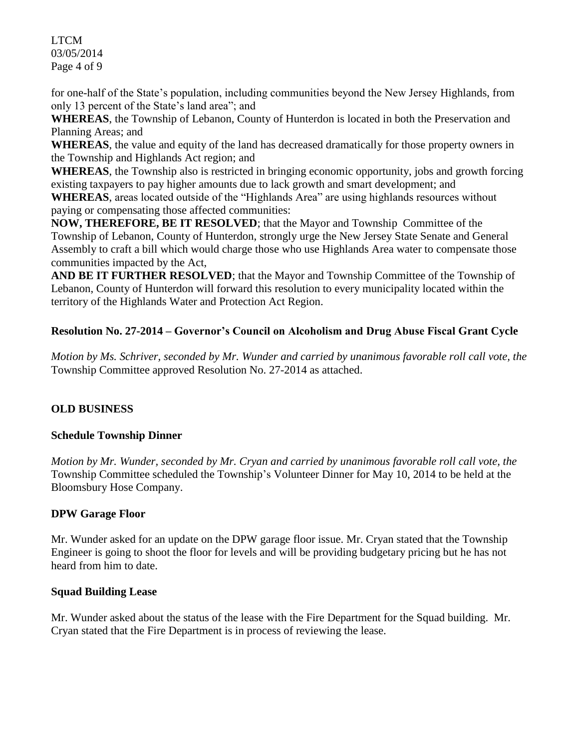LTCM 03/05/2014 Page 4 of 9

for one-half of the State's population, including communities beyond the New Jersey Highlands, from only 13 percent of the State's land area"; and

**WHEREAS**, the Township of Lebanon, County of Hunterdon is located in both the Preservation and Planning Areas; and

**WHEREAS**, the value and equity of the land has decreased dramatically for those property owners in the Township and Highlands Act region; and

**WHEREAS**, the Township also is restricted in bringing economic opportunity, jobs and growth forcing existing taxpayers to pay higher amounts due to lack growth and smart development; and

**WHEREAS**, areas located outside of the "Highlands Area" are using highlands resources without paying or compensating those affected communities:

**NOW, THEREFORE, BE IT RESOLVED**; that the Mayor and Township Committee of the Township of Lebanon, County of Hunterdon, strongly urge the New Jersey State Senate and General Assembly to craft a bill which would charge those who use Highlands Area water to compensate those communities impacted by the Act,

**AND BE IT FURTHER RESOLVED**; that the Mayor and Township Committee of the Township of Lebanon, County of Hunterdon will forward this resolution to every municipality located within the territory of the Highlands Water and Protection Act Region.

# **Resolution No. 27-2014 – Governor's Council on Alcoholism and Drug Abuse Fiscal Grant Cycle**

*Motion by Ms. Schriver, seconded by Mr. Wunder and carried by unanimous favorable roll call vote, the* Township Committee approved Resolution No. 27-2014 as attached.

# **OLD BUSINESS**

## **Schedule Township Dinner**

*Motion by Mr. Wunder, seconded by Mr. Cryan and carried by unanimous favorable roll call vote, the* Township Committee scheduled the Township's Volunteer Dinner for May 10, 2014 to be held at the Bloomsbury Hose Company.

## **DPW Garage Floor**

Mr. Wunder asked for an update on the DPW garage floor issue. Mr. Cryan stated that the Township Engineer is going to shoot the floor for levels and will be providing budgetary pricing but he has not heard from him to date.

## **Squad Building Lease**

Mr. Wunder asked about the status of the lease with the Fire Department for the Squad building. Mr. Cryan stated that the Fire Department is in process of reviewing the lease.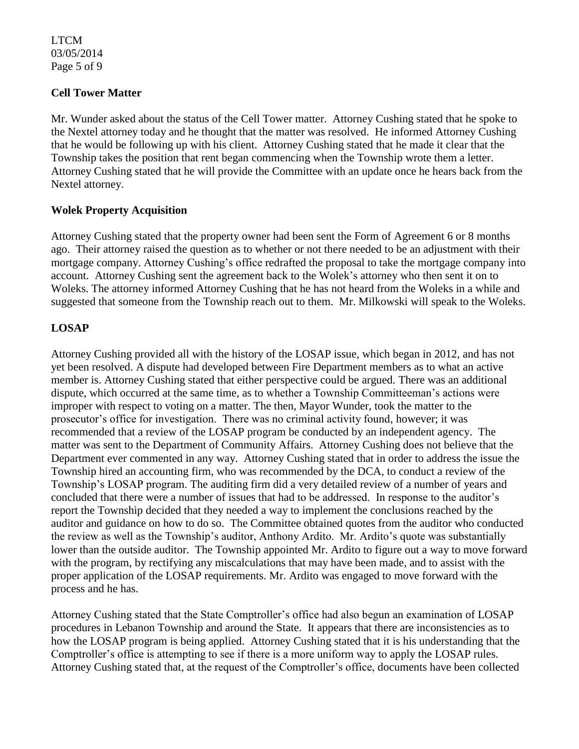LTCM 03/05/2014 Page 5 of 9

## **Cell Tower Matter**

Mr. Wunder asked about the status of the Cell Tower matter. Attorney Cushing stated that he spoke to the Nextel attorney today and he thought that the matter was resolved. He informed Attorney Cushing that he would be following up with his client. Attorney Cushing stated that he made it clear that the Township takes the position that rent began commencing when the Township wrote them a letter. Attorney Cushing stated that he will provide the Committee with an update once he hears back from the Nextel attorney.

## **Wolek Property Acquisition**

Attorney Cushing stated that the property owner had been sent the Form of Agreement 6 or 8 months ago. Their attorney raised the question as to whether or not there needed to be an adjustment with their mortgage company. Attorney Cushing's office redrafted the proposal to take the mortgage company into account. Attorney Cushing sent the agreement back to the Wolek's attorney who then sent it on to Woleks. The attorney informed Attorney Cushing that he has not heard from the Woleks in a while and suggested that someone from the Township reach out to them. Mr. Milkowski will speak to the Woleks.

## **LOSAP**

Attorney Cushing provided all with the history of the LOSAP issue, which began in 2012, and has not yet been resolved. A dispute had developed between Fire Department members as to what an active member is. Attorney Cushing stated that either perspective could be argued. There was an additional dispute, which occurred at the same time, as to whether a Township Committeeman's actions were improper with respect to voting on a matter. The then, Mayor Wunder, took the matter to the prosecutor's office for investigation. There was no criminal activity found, however; it was recommended that a review of the LOSAP program be conducted by an independent agency. The matter was sent to the Department of Community Affairs. Attorney Cushing does not believe that the Department ever commented in any way. Attorney Cushing stated that in order to address the issue the Township hired an accounting firm, who was recommended by the DCA, to conduct a review of the Township's LOSAP program. The auditing firm did a very detailed review of a number of years and concluded that there were a number of issues that had to be addressed. In response to the auditor's report the Township decided that they needed a way to implement the conclusions reached by the auditor and guidance on how to do so. The Committee obtained quotes from the auditor who conducted the review as well as the Township's auditor, Anthony Ardito. Mr. Ardito's quote was substantially lower than the outside auditor. The Township appointed Mr. Ardito to figure out a way to move forward with the program, by rectifying any miscalculations that may have been made, and to assist with the proper application of the LOSAP requirements. Mr. Ardito was engaged to move forward with the process and he has.

Attorney Cushing stated that the State Comptroller's office had also begun an examination of LOSAP procedures in Lebanon Township and around the State. It appears that there are inconsistencies as to how the LOSAP program is being applied. Attorney Cushing stated that it is his understanding that the Comptroller's office is attempting to see if there is a more uniform way to apply the LOSAP rules. Attorney Cushing stated that, at the request of the Comptroller's office, documents have been collected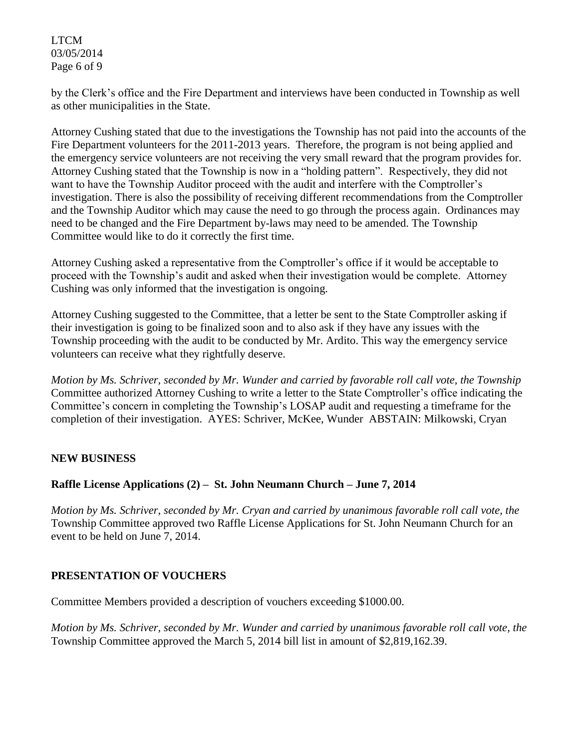### LTCM 03/05/2014 Page 6 of 9

by the Clerk's office and the Fire Department and interviews have been conducted in Township as well as other municipalities in the State.

Attorney Cushing stated that due to the investigations the Township has not paid into the accounts of the Fire Department volunteers for the 2011-2013 years. Therefore, the program is not being applied and the emergency service volunteers are not receiving the very small reward that the program provides for. Attorney Cushing stated that the Township is now in a "holding pattern". Respectively, they did not want to have the Township Auditor proceed with the audit and interfere with the Comptroller's investigation. There is also the possibility of receiving different recommendations from the Comptroller and the Township Auditor which may cause the need to go through the process again. Ordinances may need to be changed and the Fire Department by-laws may need to be amended. The Township Committee would like to do it correctly the first time.

Attorney Cushing asked a representative from the Comptroller's office if it would be acceptable to proceed with the Township's audit and asked when their investigation would be complete. Attorney Cushing was only informed that the investigation is ongoing.

Attorney Cushing suggested to the Committee, that a letter be sent to the State Comptroller asking if their investigation is going to be finalized soon and to also ask if they have any issues with the Township proceeding with the audit to be conducted by Mr. Ardito. This way the emergency service volunteers can receive what they rightfully deserve.

*Motion by Ms. Schriver, seconded by Mr. Wunder and carried by favorable roll call vote, the Township*  Committee authorized Attorney Cushing to write a letter to the State Comptroller's office indicating the Committee's concern in completing the Township's LOSAP audit and requesting a timeframe for the completion of their investigation. AYES: Schriver, McKee, Wunder ABSTAIN: Milkowski, Cryan

## **NEW BUSINESS**

## **Raffle License Applications (2) – St. John Neumann Church – June 7, 2014**

*Motion by Ms. Schriver, seconded by Mr. Cryan and carried by unanimous favorable roll call vote, the* Township Committee approved two Raffle License Applications for St. John Neumann Church for an event to be held on June 7, 2014.

## **PRESENTATION OF VOUCHERS**

Committee Members provided a description of vouchers exceeding \$1000.00.

*Motion by Ms. Schriver, seconded by Mr. Wunder and carried by unanimous favorable roll call vote, the* Township Committee approved the March 5, 2014 bill list in amount of \$2,819,162.39.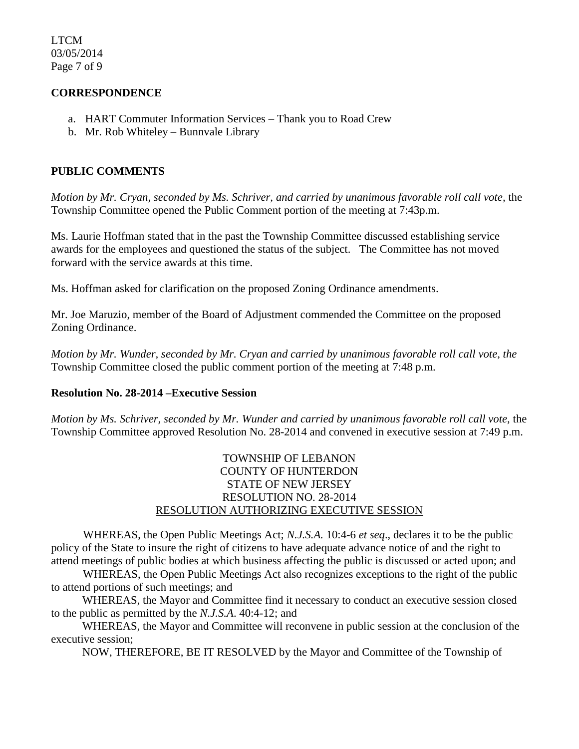LTCM 03/05/2014 Page 7 of 9

### **CORRESPONDENCE**

- a. HART Commuter Information Services Thank you to Road Crew
- b. Mr. Rob Whiteley Bunnvale Library

### **PUBLIC COMMENTS**

*Motion by Mr. Cryan, seconded by Ms. Schriver, and carried by unanimous favorable roll call vote,* the Township Committee opened the Public Comment portion of the meeting at 7:43p.m.

Ms. Laurie Hoffman stated that in the past the Township Committee discussed establishing service awards for the employees and questioned the status of the subject. The Committee has not moved forward with the service awards at this time.

Ms. Hoffman asked for clarification on the proposed Zoning Ordinance amendments.

Mr. Joe Maruzio, member of the Board of Adjustment commended the Committee on the proposed Zoning Ordinance.

*Motion by Mr. Wunder, seconded by Mr. Cryan and carried by unanimous favorable roll call vote, the* Township Committee closed the public comment portion of the meeting at 7:48 p.m.

#### **Resolution No. 28-2014 –Executive Session**

*Motion by Ms. Schriver, seconded by Mr. Wunder and carried by unanimous favorable roll call vote,* the Township Committee approved Resolution No. 28-2014 and convened in executive session at 7:49 p.m.

## TOWNSHIP OF LEBANON COUNTY OF HUNTERDON STATE OF NEW JERSEY RESOLUTION NO. 28-2014 RESOLUTION AUTHORIZING EXECUTIVE SESSION

WHEREAS, the Open Public Meetings Act; *N.J.S.A.* 10:4-6 *et seq*., declares it to be the public policy of the State to insure the right of citizens to have adequate advance notice of and the right to attend meetings of public bodies at which business affecting the public is discussed or acted upon; and

WHEREAS, the Open Public Meetings Act also recognizes exceptions to the right of the public to attend portions of such meetings; and

 WHEREAS, the Mayor and Committee find it necessary to conduct an executive session closed to the public as permitted by the *N.J.S.A*. 40:4-12; and

 WHEREAS, the Mayor and Committee will reconvene in public session at the conclusion of the executive session;

NOW, THEREFORE, BE IT RESOLVED by the Mayor and Committee of the Township of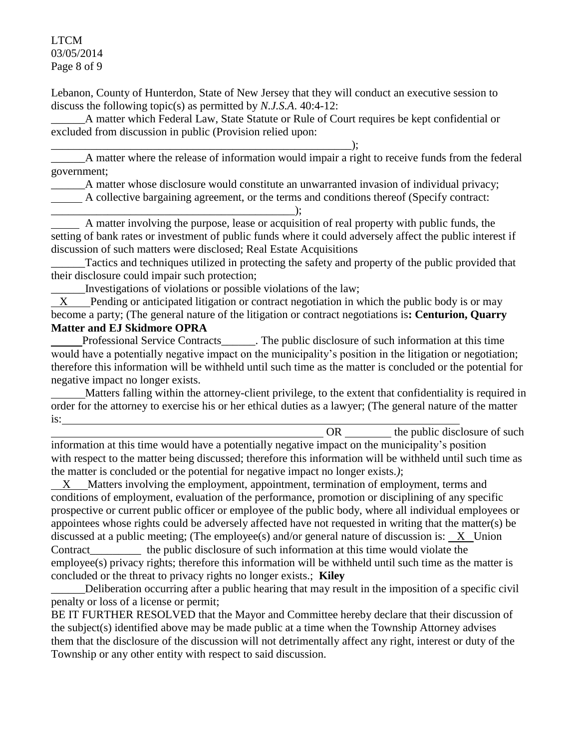LTCM 03/05/2014 Page 8 of 9

Lebanon, County of Hunterdon, State of New Jersey that they will conduct an executive session to discuss the following topic(s) as permitted by *N.J.S.A*. 40:4-12:

A matter which Federal Law, State Statute or Rule of Court requires be kept confidential or excluded from discussion in public (Provision relied upon:

\_\_\_\_\_\_\_\_\_\_\_\_\_\_\_\_\_\_\_\_\_\_\_\_\_\_\_\_\_\_\_\_\_\_\_\_\_\_\_\_\_\_\_\_\_\_\_\_\_\_\_\_\_);

A matter where the release of information would impair a right to receive funds from the federal government;

A matter whose disclosure would constitute an unwarranted invasion of individual privacy;

A collective bargaining agreement, or the terms and conditions thereof (Specify contract:

\_\_\_\_\_\_\_\_\_\_\_\_\_\_\_\_\_\_\_\_\_\_\_\_\_\_\_\_\_\_\_\_\_\_\_\_\_\_\_\_\_\_\_); A matter involving the purpose, lease or acquisition of real property with public funds, the setting of bank rates or investment of public funds where it could adversely affect the public interest if discussion of such matters were disclosed; Real Estate Acquisitions

Tactics and techniques utilized in protecting the safety and property of the public provided that their disclosure could impair such protection;

\_\_\_\_\_\_Investigations of violations or possible violations of the law;

 X Pending or anticipated litigation or contract negotiation in which the public body is or may become a party; (The general nature of the litigation or contract negotiations is**: Centurion, Quarry Matter and EJ Skidmore OPRA**

 Professional Service Contracts\_\_\_\_\_\_. The public disclosure of such information at this time would have a potentially negative impact on the municipality's position in the litigation or negotiation; therefore this information will be withheld until such time as the matter is concluded or the potential for negative impact no longer exists.

 Matters falling within the attorney-client privilege, to the extent that confidentiality is required in order for the attorney to exercise his or her ethical duties as a lawyer; (The general nature of the matter is:

OR the public disclosure of such information at this time would have a potentially negative impact on the municipality's position with respect to the matter being discussed; therefore this information will be withheld until such time as the matter is concluded or the potential for negative impact no longer exists.*)*;

 X Matters involving the employment, appointment, termination of employment, terms and conditions of employment, evaluation of the performance, promotion or disciplining of any specific prospective or current public officer or employee of the public body, where all individual employees or appointees whose rights could be adversely affected have not requested in writing that the matter(s) be discussed at a public meeting; (The employee(s) and/or general nature of discussion is: X Union Contract the public disclosure of such information at this time would violate the employee(s) privacy rights; therefore this information will be withheld until such time as the matter is concluded or the threat to privacy rights no longer exists.; **Kiley**

Deliberation occurring after a public hearing that may result in the imposition of a specific civil penalty or loss of a license or permit;

BE IT FURTHER RESOLVED that the Mayor and Committee hereby declare that their discussion of the subject(s) identified above may be made public at a time when the Township Attorney advises them that the disclosure of the discussion will not detrimentally affect any right, interest or duty of the Township or any other entity with respect to said discussion.